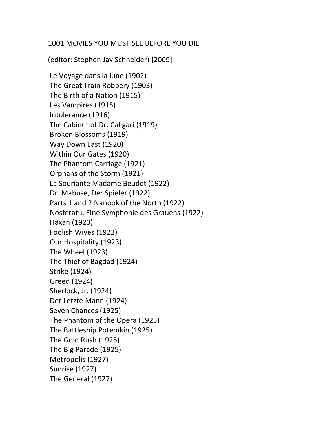## 1001 MOVIES YOU MUST SEE BEFORE YOU DIE

(editor: Stephen Jay Schneider) [2009]

Le Voyage dans la lune (1902) The Great Train Robbery (1903) The Birth of a Nation (1915) Les Vampires (1915) Intolerance (1916) The Cabinet of Dr. Caligari (1919) Broken Blossoms (1919) Way Down East (1920) Within Our Gates (1920) The Phantom Carriage (1921) Orphans of the Storm (1921) La Souriante Madame Beudet (1922) Dr. Mabuse, Der Spieler (1922) Parts 1 and 2 Nanook of the North (1922) Nosferatu, Eine Symphonie des Grauens (1922) Häxan (1923) Foolish Wives (1922) Our Hospitality (1923) The Wheel  $(1923)$ The Thief of Bagdad (1924) Strike (1924) Greed (1924) Sherlock, Jr. (1924) Der Letzte Mann (1924) Seven Chances (1925) The Phantom of the Opera (1925) The Battleship Potemkin (1925) The Gold Rush (1925) The Big Parade (1925) Metropolis (1927) Sunrise (1927) The General (1927)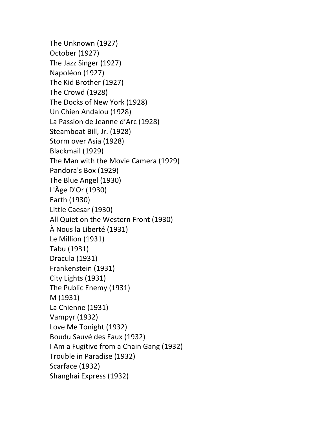The Unknown (1927) October (1927) The Jazz Singer (1927) Napoléon (1927) The Kid Brother (1927) The Crowd (1928) The Docks of New York (1928) Un Chien Andalou (1928) La Passion de Jeanne d'Arc (1928) Steamboat Bill, Jr. (1928) Storm over Asia (1928) Blackmail (1929) The Man with the Movie Camera (1929) Pandora's Box (1929) The Blue Angel (1930) L'Âge D'Or (1930) Earth (1930) Little Caesar (1930) All Quiet on the Western Front (1930) À Nous la Liberté (1931) Le Million (1931) Tabu (1931) Dracula (1931) Frankenstein (1931) City Lights (1931) The Public Enemy (1931) M (1931) La Chienne (1931) Vampyr (1932) Love Me Tonight (1932) Boudu Sauvé des Eaux (1932) I Am a Fugitive from a Chain Gang (1932) Trouble in Paradise (1932) Scarface (1932) Shanghai Express (1932)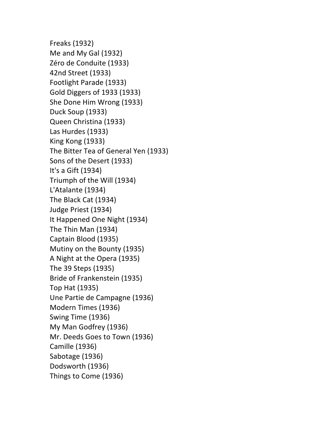Freaks (1932) Me and My Gal (1932) Zéro de Conduite (1933) 42nd Street (1933) Footlight Parade (1933) Gold Diggers of 1933 (1933) She Done Him Wrong (1933) Duck Soup (1933) Queen Christina (1933) Las Hurdes (1933) King Kong (1933) The Bitter Tea of General Yen (1933) Sons of the Desert (1933) It's a Gift (1934) Triumph of the Will (1934) L'Atalante (1934) The Black Cat (1934) Judge Priest (1934) It Happened One Night (1934) The Thin Man (1934) Captain Blood (1935) Mutiny on the Bounty (1935) A Night at the Opera (1935) The 39 Steps (1935) Bride of Frankenstein (1935) Top Hat (1935) Une Partie de Campagne (1936) Modern Times (1936) Swing Time (1936) My Man Godfrey (1936) Mr. Deeds Goes to Town (1936) Camille (1936) Sabotage (1936) Dodsworth (1936) Things to Come (1936)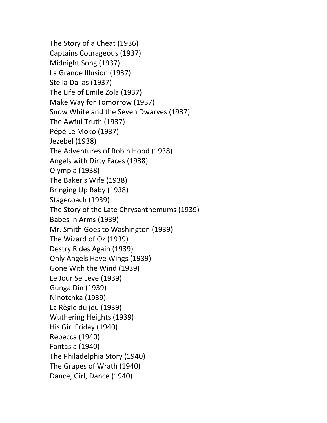The Story of a Cheat (1936) Captains Courageous (1937) Midnight Song (1937) La Grande Illusion (1937) Stella Dallas (1937) The Life of Emile Zola (1937) Make Way for Tomorrow (1937) Snow White and the Seven Dwarves (1937) The Awful Truth (1937) Pépé Le Moko (1937) Jezebel (1938) The Adventures of Robin Hood (1938) Angels with Dirty Faces (1938) Olympia (1938) The Baker's Wife (1938) Bringing Up Baby (1938) Stagecoach (1939) The Story of the Late Chrysanthemums (1939) Babes in Arms (1939) Mr. Smith Goes to Washington (1939) The Wizard of Oz (1939) Destry Rides Again (1939) Only Angels Have Wings (1939) Gone With the Wind (1939) Le Jour Se Lève (1939) Gunga Din (1939) Ninotchka (1939) La Règle du jeu (1939) Wuthering Heights (1939) His Girl Friday (1940) Rebecca (1940) Fantasia (1940) The Philadelphia Story (1940) The Grapes of Wrath (1940) Dance, Girl, Dance (1940)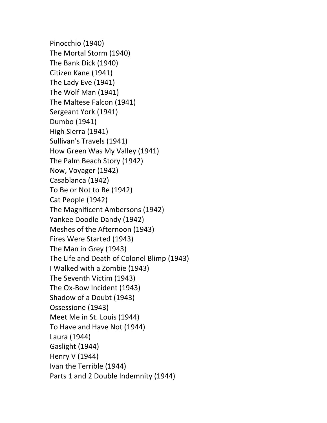Pinocchio (1940) The Mortal Storm (1940) The Bank Dick (1940) Citizen Kane (1941) The Lady Eve (1941) The Wolf Man (1941) The Maltese Falcon (1941) Sergeant York (1941) Dumbo (1941) High Sierra (1941) Sullivan's Travels (1941) How Green Was My Valley (1941) The Palm Beach Story (1942) Now, Voyager (1942) Casablanca (1942) To Be or Not to Be (1942) Cat People (1942) The Magnificent Ambersons (1942) Yankee Doodle Dandy (1942) Meshes of the Afternoon (1943) Fires Were Started (1943) The Man in Grey (1943) The Life and Death of Colonel Blimp (1943) I Walked with a Zombie (1943) The Seventh Victim (1943) The Ox-Bow Incident (1943) Shadow of a Doubt (1943) Ossessione (1943) Meet Me in St. Louis (1944) To Have and Have Not (1944) Laura (1944) Gaslight (1944) Henry V (1944) Ivan the Terrible (1944) Parts 1 and 2 Double Indemnity (1944)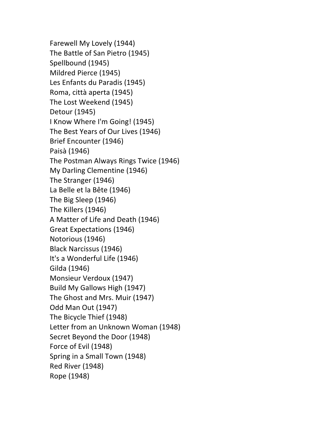Farewell My Lovely (1944) The Battle of San Pietro (1945) Spellbound (1945) Mildred Pierce (1945) Les Enfants du Paradis (1945) Roma, città aperta (1945) The Lost Weekend (1945) Detour (1945) I Know Where I'm Going! (1945) The Best Years of Our Lives (1946) Brief Encounter (1946) Paisà (1946) The Postman Always Rings Twice (1946) My Darling Clementine (1946) The Stranger (1946) La Belle et la Bête (1946) The Big Sleep (1946) The Killers (1946) A Matter of Life and Death (1946) Great Expectations (1946) Notorious (1946) Black Narcissus (1946) It's a Wonderful Life (1946) Gilda (1946) Monsieur Verdoux (1947) Build My Gallows High (1947) The Ghost and Mrs. Muir (1947) Odd Man Out (1947) The Bicycle Thief (1948) Letter from an Unknown Woman (1948) Secret Beyond the Door (1948) Force of Evil (1948) Spring in a Small Town (1948) Red River (1948) Rope (1948)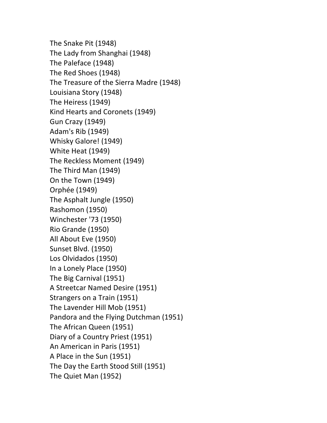The Snake Pit (1948) The Lady from Shanghai (1948) The Paleface (1948) The Red Shoes (1948) The Treasure of the Sierra Madre (1948) Louisiana Story (1948) The Heiress (1949) Kind Hearts and Coronets (1949) Gun Crazy (1949) Adam's Rib (1949) Whisky Galore! (1949) White Heat (1949) The Reckless Moment (1949) The Third Man (1949) On the Town (1949) Orphée (1949) The Asphalt Jungle (1950) Rashomon (1950) Winchester '73 (1950) Rio Grande (1950) All About Eve (1950) Sunset Blvd. (1950) Los Olvidados (1950) In a Lonely Place (1950) The Big Carnival (1951) A Streetcar Named Desire (1951) Strangers on a Train (1951) The Lavender Hill Mob (1951) Pandora and the Flying Dutchman (1951) The African Queen (1951) Diary of a Country Priest (1951) An American in Paris (1951) A Place in the Sun (1951) The Day the Earth Stood Still (1951) The Quiet Man (1952)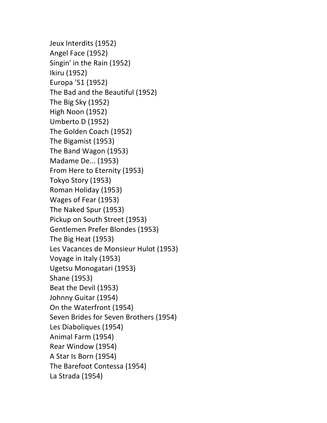Jeux Interdits (1952) Angel Face (1952) Singin' in the Rain (1952) Ikiru (1952) Europa '51 (1952) The Bad and the Beautiful (1952) The Big Sky (1952) High Noon (1952) Umberto D (1952) The Golden Coach (1952) The Bigamist (1953) The Band Wagon (1953) Madame De... (1953) From Here to Eternity (1953) Tokyo Story (1953) Roman Holiday (1953) Wages of Fear (1953) The Naked Spur (1953) Pickup on South Street (1953) Gentlemen Prefer Blondes (1953) The Big Heat (1953) Les Vacances de Monsieur Hulot (1953) Voyage in Italy (1953) Ugetsu Monogatari (1953) Shane (1953) Beat the Devil (1953) Johnny Guitar (1954) On the Waterfront (1954) Seven Brides for Seven Brothers (1954) Les Diaboliques (1954) Animal Farm (1954) Rear Window (1954) A Star Is Born (1954) The Barefoot Contessa (1954) La Strada (1954)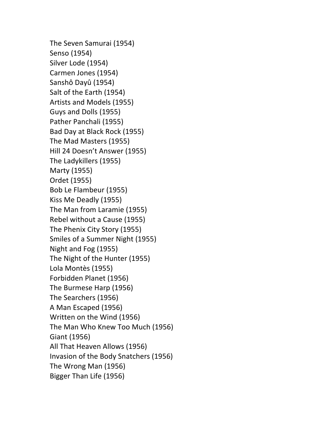The Seven Samurai (1954) Senso (1954) Silver Lode (1954) Carmen Jones (1954) Sanshô Dayû (1954) Salt of the Earth (1954) Artists and Models (1955) Guys and Dolls (1955) Pather Panchali (1955) Bad Day at Black Rock (1955) The Mad Masters (1955) Hill 24 Doesn't Answer (1955) The Ladykillers (1955) Marty (1955) Ordet (1955) Bob Le Flambeur (1955) Kiss Me Deadly (1955) The Man from Laramie (1955) Rebel without a Cause (1955) The Phenix City Story (1955) Smiles of a Summer Night (1955) Night and Fog (1955) The Night of the Hunter (1955) Lola Montès (1955) Forbidden Planet (1956) The Burmese Harp (1956) The Searchers (1956) A Man Escaped (1956) Written on the Wind (1956) The Man Who Knew Too Much (1956) Giant (1956) All That Heaven Allows (1956) Invasion of the Body Snatchers (1956) The Wrong Man (1956) Bigger Than Life (1956)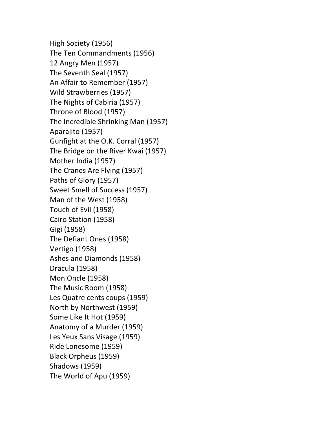High Society (1956) The Ten Commandments (1956) 12 Angry Men (1957) The Seventh Seal (1957) An Affair to Remember (1957) Wild Strawberries (1957) The Nights of Cabiria (1957) Throne of Blood (1957) The Incredible Shrinking Man (1957) Aparajito (1957) Gunfight at the O.K. Corral (1957) The Bridge on the River Kwai (1957) Mother India (1957) The Cranes Are Flying (1957) Paths of Glory (1957) Sweet Smell of Success (1957) Man of the West (1958) Touch of Evil (1958) Cairo Station (1958) Gigi (1958) The Defiant Ones (1958) Vertigo (1958) Ashes and Diamonds (1958) Dracula (1958) Mon Oncle (1958) The Music Room (1958) Les Quatre cents coups (1959) North by Northwest (1959) Some Like It Hot (1959) Anatomy of a Murder (1959) Les Yeux Sans Visage (1959) Ride Lonesome (1959) Black Orpheus (1959) Shadows (1959) The World of Apu (1959)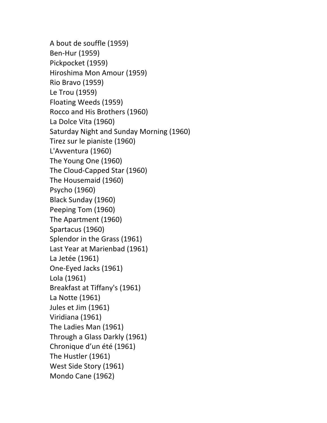A bout de souffle (1959) Ben-Hur (1959) Pickpocket (1959) Hiroshima Mon Amour (1959) Rio Bravo (1959) Le Trou (1959) Floating Weeds (1959) Rocco and His Brothers (1960) La Dolce Vita (1960) Saturday Night and Sunday Morning (1960) Tirez sur le pianiste (1960) L'Avventura (1960) The Young One (1960) The Cloud-Capped Star (1960) The Housemaid (1960) Psycho (1960) Black Sunday (1960) Peeping Tom (1960) The Apartment (1960) Spartacus (1960) Splendor in the Grass (1961) Last Year at Marienbad (1961) La Jetée (1961) One-Eyed Jacks (1961) Lola (1961) Breakfast at Tiffany's (1961) La Notte (1961) Jules et Jim (1961) Viridiana (1961) The Ladies Man (1961) Through a Glass Darkly (1961) Chronique d'un été (1961) The Hustler (1961) West Side Story (1961) Mondo Cane (1962)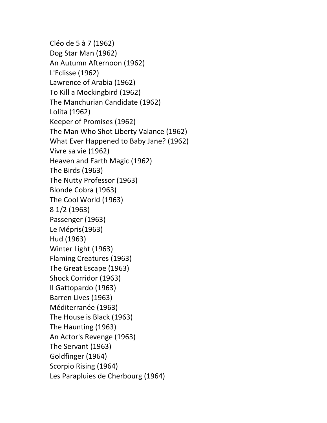Cléo de 5 à 7 (1962) Dog Star Man (1962) An Autumn Afternoon (1962) L'Eclisse (1962) Lawrence of Arabia (1962) To Kill a Mockingbird (1962) The Manchurian Candidate (1962) Lolita (1962) Keeper of Promises (1962) The Man Who Shot Liberty Valance (1962) What Ever Happened to Baby Jane? (1962) Vivre sa vie (1962) Heaven and Earth Magic (1962) The Birds (1963) The Nutty Professor (1963) Blonde Cobra (1963) The Cool World (1963) 8 1/2 (1963) Passenger (1963) Le Mépris(1963) Hud (1963) Winter Light (1963) Flaming Creatures (1963) The Great Escape (1963) Shock Corridor (1963) Il Gattopardo (1963) Barren Lives (1963) Méditerranée (1963) The House is Black (1963) The Haunting (1963) An Actor's Revenge (1963) The Servant (1963) Goldfinger (1964) Scorpio Rising (1964) Les Parapluies de Cherbourg (1964)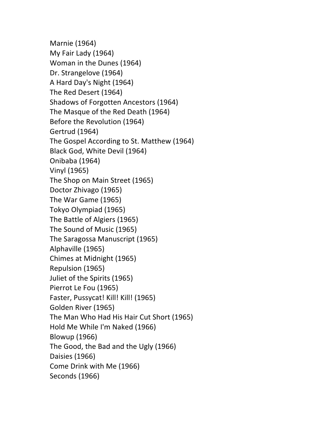Marnie (1964) My Fair Lady (1964) Woman in the Dunes (1964) Dr. Strangelove (1964) A Hard Day's Night (1964) The Red Desert (1964) Shadows of Forgotten Ancestors (1964) The Masque of the Red Death (1964) Before the Revolution (1964) Gertrud (1964) The Gospel According to St. Matthew (1964) Black God, White Devil (1964) Onibaba (1964) Vinyl (1965) The Shop on Main Street (1965) Doctor Zhivago (1965) The War Game (1965) Tokyo Olympiad (1965) The Battle of Algiers (1965) The Sound of Music (1965) The Saragossa Manuscript (1965) Alphaville (1965) Chimes at Midnight (1965) Repulsion (1965) Juliet of the Spirits (1965) Pierrot Le Fou (1965) Faster, Pussycat! Kill! Kill! (1965) Golden River (1965) The Man Who Had His Hair Cut Short (1965) Hold Me While I'm Naked (1966) Blowup (1966) The Good, the Bad and the Ugly (1966) Daisies (1966) Come Drink with Me (1966) Seconds (1966)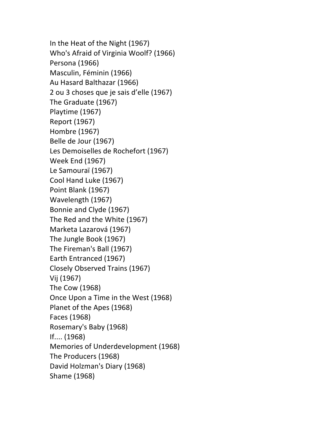In the Heat of the Night (1967) Who's Afraid of Virginia Woolf? (1966) Persona (1966) Masculin, Féminin (1966) Au Hasard Balthazar (1966) 2 ou 3 choses que je sais d'elle (1967) The Graduate (1967) Playtime (1967) Report (1967) Hombre (1967) Belle de Jour (1967) Les Demoiselles de Rochefort (1967) Week End (1967) Le Samouraï (1967) Cool Hand Luke (1967) Point Blank (1967) Wavelength (1967) Bonnie and Clyde (1967) The Red and the White (1967) Marketa Lazarová (1967) The Jungle Book (1967) The Fireman's Ball (1967) Earth Entranced (1967) Closely Observed Trains (1967) Vij (1967) The Cow (1968) Once Upon a Time in the West (1968) Planet of the Apes (1968) Faces (1968) Rosemary's Baby (1968) If.... (1968) Memories of Underdevelopment (1968) The Producers (1968) David Holzman's Diary (1968) Shame (1968)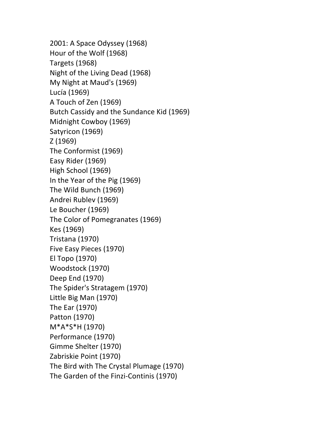2001: A Space Odyssey (1968) Hour of the Wolf (1968) Targets (1968) Night of the Living Dead (1968) My Night at Maud's (1969) Lucía (1969) A Touch of Zen (1969) Butch Cassidy and the Sundance Kid (1969) Midnight Cowboy (1969) Satyricon (1969) Z (1969) The Conformist (1969) Easy Rider (1969) High School (1969) In the Year of the Pig (1969) The Wild Bunch (1969) Andrei Rublev (1969) Le Boucher (1969) The Color of Pomegranates (1969) Kes (1969) Tristana (1970) Five Easy Pieces (1970) El Topo (1970) Woodstock (1970) Deep End (1970) The Spider's Stratagem (1970) Little Big Man (1970) The Ear (1970) Patton (1970) M\*A\*S\*H (1970) Performance (1970) Gimme Shelter (1970) Zabriskie Point (1970) The Bird with The Crystal Plumage (1970) The Garden of the Finzi-Continis (1970)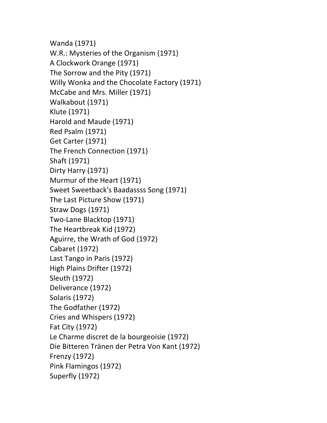Wanda (1971) W.R.: Mysteries of the Organism (1971) A Clockwork Orange (1971) The Sorrow and the Pity (1971) Willy Wonka and the Chocolate Factory (1971) McCabe and Mrs. Miller (1971) Walkabout (1971) Klute (1971) Harold and Maude (1971) Red Psalm (1971) Get Carter (1971) The French Connection (1971) Shaft (1971) Dirty Harry (1971) Murmur of the Heart (1971) Sweet Sweetback's Baadassss Song (1971) The Last Picture Show (1971) Straw Dogs (1971) Two-Lane Blacktop (1971) The Heartbreak Kid (1972) Aguirre, the Wrath of God (1972) Cabaret (1972) Last Tango in Paris (1972) High Plains Drifter (1972) Sleuth (1972) Deliverance (1972) Solaris (1972) The Godfather (1972) Cries and Whispers (1972) Fat City (1972) Le Charme discret de la bourgeoisie (1972) Die Bitteren Tränen der Petra Von Kant (1972) Frenzy (1972) Pink Flamingos (1972) Superfly (1972)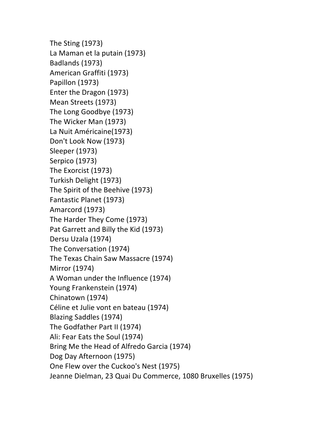The Sting  $(1973)$ La Maman et la putain (1973) Badlands (1973) American Graffiti (1973) Papillon (1973) Enter the Dragon (1973) Mean Streets (1973) The Long Goodbye (1973) The Wicker Man (1973) La Nuit Américaine(1973) Don't Look Now (1973) Sleeper (1973) Serpico (1973) The Exorcist (1973) Turkish Delight (1973) The Spirit of the Beehive (1973) Fantastic Planet (1973) Amarcord (1973) The Harder They Come (1973) Pat Garrett and Billy the Kid (1973) Dersu Uzala (1974) The Conversation (1974) The Texas Chain Saw Massacre (1974) Mirror (1974) A Woman under the Influence (1974) Young Frankenstein (1974) Chinatown (1974) Céline et Julie vont en bateau (1974) Blazing Saddles (1974) The Godfather Part II (1974) Ali: Fear Eats the Soul (1974) Bring Me the Head of Alfredo Garcia (1974) Dog Day Afternoon (1975) One Flew over the Cuckoo's Nest (1975) Jeanne Dielman, 23 Quai Du Commerce, 1080 Bruxelles (1975)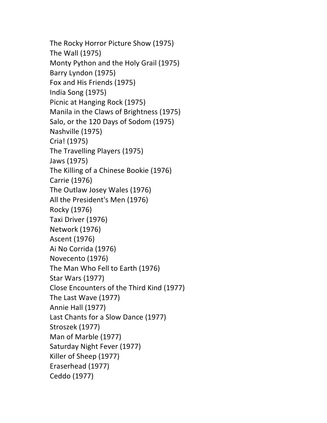The Rocky Horror Picture Show (1975) The Wall (1975) Monty Python and the Holy Grail (1975) Barry Lyndon (1975) Fox and His Friends (1975) India Song (1975) Picnic at Hanging Rock (1975) Manila in the Claws of Brightness (1975) Salo, or the 120 Days of Sodom (1975) Nashville (1975) Cria! (1975) The Travelling Players (1975) Jaws (1975) The Killing of a Chinese Bookie (1976) Carrie (1976) The Outlaw Josey Wales (1976) All the President's Men (1976) Rocky (1976) Taxi Driver (1976) Network (1976) Ascent (1976) Ai No Corrida (1976) Novecento (1976) The Man Who Fell to Earth (1976) Star Wars (1977) Close Encounters of the Third Kind (1977) The Last Wave (1977) Annie Hall (1977) Last Chants for a Slow Dance (1977) Stroszek (1977) Man of Marble (1977) Saturday Night Fever (1977) Killer of Sheep (1977) Eraserhead (1977) Ceddo (1977)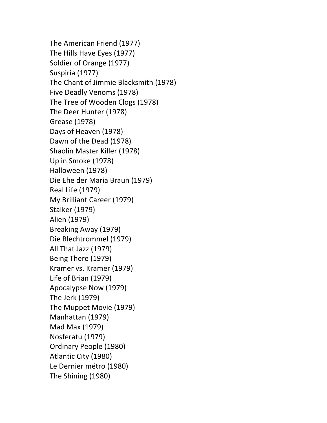The American Friend (1977) The Hills Have Eyes (1977) Soldier of Orange (1977) Suspiria (1977) The Chant of Jimmie Blacksmith (1978) Five Deadly Venoms (1978) The Tree of Wooden Clogs (1978) The Deer Hunter (1978) Grease (1978) Days of Heaven (1978) Dawn of the Dead (1978) Shaolin Master Killer (1978) Up in Smoke (1978) Halloween (1978) Die Ehe der Maria Braun (1979) Real Life (1979) My Brilliant Career (1979) Stalker (1979) Alien (1979) Breaking Away (1979) Die Blechtrommel (1979) All That Jazz (1979) Being There (1979) Kramer vs. Kramer (1979) Life of Brian (1979) Apocalypse Now (1979) The Jerk (1979) The Muppet Movie (1979) Manhattan (1979) Mad Max (1979) Nosferatu (1979) Ordinary People (1980) Atlantic City (1980) Le Dernier métro (1980) The Shining (1980)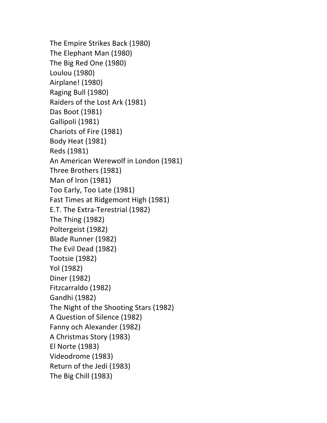```
The Empire Strikes Back (1980)
The Elephant Man (1980)
The Big Red One (1980)
Loulou	(1980)
Airplane! (1980)
Raging Bull (1980)
Raiders of the Lost Ark (1981)
Das Boot (1981)
Gallipoli (1981)
Chariots of Fire (1981)
Body Heat (1981)
Reds	(1981)
An American Werewolf in London (1981)
Three Brothers (1981)
Man of Iron (1981)
Too Early, Too Late (1981)
Fast Times at Ridgemont High (1981)
E.T. The Extra-Terestrial (1982)
The Thing (1982)Poltergeist (1982)
Blade Runner (1982)
The Evil Dead (1982)
Tootsie (1982)
Yol	(1982)
Diner (1982)
Fitzcarraldo (1982)
Gandhi (1982)
The Night of the Shooting Stars (1982)
A Question of Silence (1982)
Fanny och Alexander (1982)
A Christmas Story (1983)
El	Norte	(1983)
Videodrome (1983)
Return of the Jedi (1983)
The Big Chill (1983)
```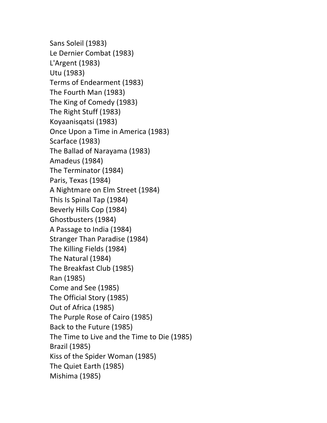Sans Soleil (1983) Le Dernier Combat (1983) L'Argent (1983) Utu (1983) Terms of Endearment (1983) The Fourth Man (1983) The King of Comedy (1983) The Right Stuff (1983) Koyaanisqatsi (1983) Once Upon a Time in America (1983) Scarface (1983) The Ballad of Narayama (1983) Amadeus (1984) The Terminator (1984) Paris, Texas (1984) A Nightmare on Elm Street (1984) This Is Spinal Tap (1984) Beverly Hills Cop (1984) Ghostbusters (1984) A Passage to India (1984) Stranger Than Paradise (1984) The Killing Fields (1984) The Natural (1984) The Breakfast Club (1985) Ran (1985) Come and See (1985) The Official Story (1985) Out of Africa (1985) The Purple Rose of Cairo (1985) Back to the Future (1985) The Time to Live and the Time to Die (1985) Brazil (1985) Kiss of the Spider Woman (1985) The Quiet Earth (1985) Mishima (1985)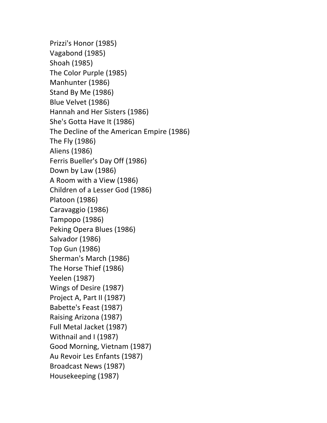Prizzi's Honor (1985) Vagabond (1985) Shoah (1985) The Color Purple (1985) Manhunter (1986) Stand By Me (1986) Blue Velvet (1986) Hannah and Her Sisters (1986) She's Gotta Have It (1986) The Decline of the American Empire (1986) The Fly (1986) Aliens (1986) Ferris Bueller's Day Off (1986) Down by Law (1986) A Room with a View (1986) Children of a Lesser God (1986) Platoon (1986) Caravaggio (1986) Tampopo (1986) Peking Opera Blues (1986) Salvador (1986) Top Gun (1986) Sherman's March (1986) The Horse Thief (1986) Yeelen (1987) Wings of Desire (1987) Project A, Part II (1987) Babette's Feast (1987) Raising Arizona (1987) Full Metal Jacket (1987) Withnail and I (1987) Good Morning, Vietnam (1987) Au Revoir Les Enfants (1987) Broadcast News (1987) Housekeeping (1987)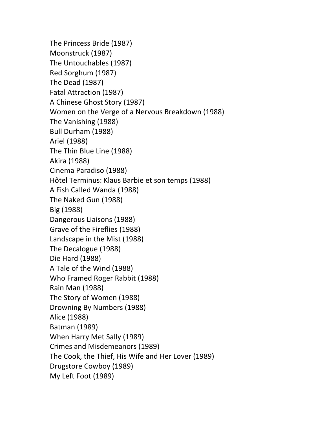The Princess Bride (1987) Moonstruck (1987) The Untouchables (1987) Red Sorghum (1987) The Dead (1987) Fatal Attraction (1987) A Chinese Ghost Story (1987) Women on the Verge of a Nervous Breakdown (1988) The Vanishing (1988) Bull Durham (1988) Ariel (1988) The Thin Blue Line (1988) Akira (1988) Cinema Paradiso (1988) Hôtel Terminus: Klaus Barbie et son temps (1988) A Fish Called Wanda (1988) The Naked Gun (1988) Big (1988) Dangerous Liaisons (1988) Grave of the Fireflies (1988) Landscape in the Mist (1988) The Decalogue (1988) Die Hard (1988) A Tale of the Wind (1988) Who Framed Roger Rabbit (1988) Rain Man (1988) The Story of Women (1988) Drowning By Numbers (1988) Alice (1988) Batman (1989) When Harry Met Sally (1989) Crimes and Misdemeanors (1989) The Cook, the Thief, His Wife and Her Lover (1989) Drugstore Cowboy (1989) My Left Foot (1989)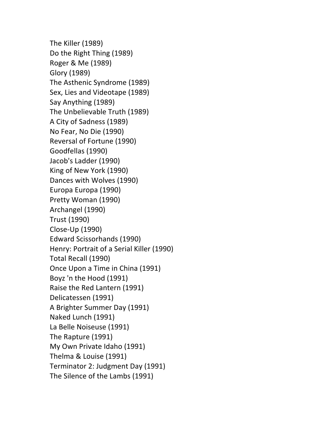The Killer (1989) Do the Right Thing (1989) Roger & Me (1989) Glory (1989) The Asthenic Syndrome (1989) Sex, Lies and Videotape (1989) Say Anything (1989) The Unbelievable Truth (1989) A City of Sadness (1989) No Fear, No Die (1990) Reversal of Fortune (1990) Goodfellas (1990) Jacob's Ladder (1990) King of New York (1990) Dances with Wolves (1990) Europa Europa (1990) Pretty Woman (1990) Archangel (1990) Trust (1990) Close-Up (1990) Edward Scissorhands (1990) Henry: Portrait of a Serial Killer (1990) Total Recall (1990) Once Upon a Time in China (1991) Boyz 'n the Hood (1991) Raise the Red Lantern (1991) Delicatessen (1991) A Brighter Summer Day (1991) Naked Lunch (1991) La Belle Noiseuse (1991) The Rapture (1991) My Own Private Idaho (1991) Thelma & Louise (1991) Terminator 2: Judgment Day (1991) The Silence of the Lambs (1991)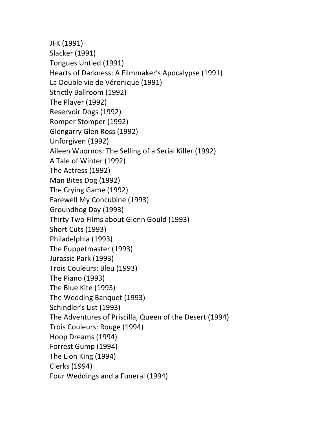JFK (1991) Slacker (1991) Tongues Untied (1991) Hearts of Darkness: A Filmmaker's Apocalypse (1991) La Double vie de Véronique (1991) Strictly Ballroom (1992) The Player (1992) Reservoir Dogs (1992) Romper Stomper (1992) Glengarry Glen Ross (1992) Unforgiven (1992) Aileen Wuornos: The Selling of a Serial Killer (1992) A Tale of Winter (1992) The Actress (1992) Man Bites Dog (1992) The Crying Game (1992) Farewell My Concubine (1993) Groundhog Day (1993) Thirty Two Films about Glenn Gould (1993) Short Cuts (1993) Philadelphia (1993) The Puppetmaster (1993) Jurassic Park (1993) Trois Couleurs: Bleu (1993) The Piano (1993) The Blue Kite (1993) The Wedding Banquet (1993) Schindler's List (1993) The Adventures of Priscilla, Queen of the Desert (1994) Trois Couleurs: Rouge (1994) Hoop Dreams (1994) Forrest Gump (1994) The Lion King (1994) Clerks (1994) Four Weddings and a Funeral (1994)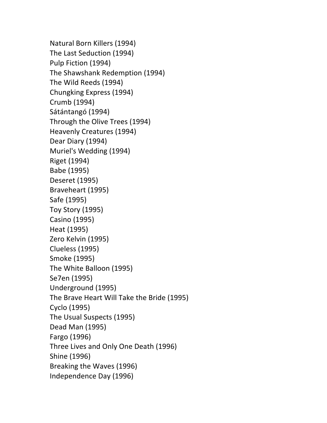Natural Born Killers (1994) The Last Seduction (1994) Pulp Fiction (1994) The Shawshank Redemption (1994) The Wild Reeds (1994) Chungking Express (1994) Crumb (1994) Sátántangó (1994) Through the Olive Trees (1994) Heavenly Creatures (1994) Dear Diary (1994) Muriel's Wedding (1994) Riget (1994) Babe (1995) Deseret (1995) Braveheart (1995) Safe (1995) Toy Story (1995) Casino (1995) Heat (1995) Zero Kelvin (1995) Clueless (1995) Smoke (1995) The White Balloon (1995) Se7en (1995) Underground (1995) The Brave Heart Will Take the Bride (1995) Cyclo (1995) The Usual Suspects (1995) Dead Man (1995) Fargo (1996) Three Lives and Only One Death (1996) Shine (1996) Breaking the Waves (1996) Independence Day (1996)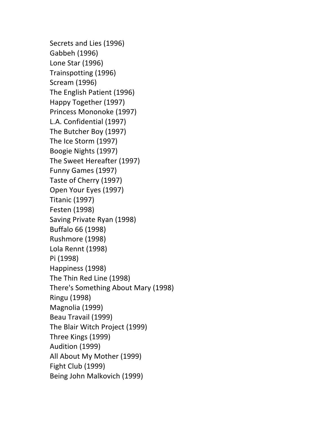Secrets and Lies (1996) Gabbeh (1996) Lone Star (1996) Trainspotting (1996) Scream (1996) The English Patient (1996) Happy Together (1997) Princess Mononoke (1997) L.A. Confidential (1997) The Butcher Boy (1997) The Ice Storm (1997) Boogie Nights (1997) The Sweet Hereafter (1997) Funny Games (1997) Taste of Cherry (1997) Open Your Eyes (1997) **Titanic (1997)** Festen (1998) Saving Private Ryan (1998) Buffalo 66 (1998) Rushmore (1998) Lola Rennt (1998) Pi (1998) Happiness (1998) The Thin Red Line (1998) There's Something About Mary (1998) Ringu (1998) Magnolia (1999) Beau Travail (1999) The Blair Witch Project (1999) Three Kings (1999) Audition (1999) All About My Mother (1999) Fight Club (1999) Being John Malkovich (1999)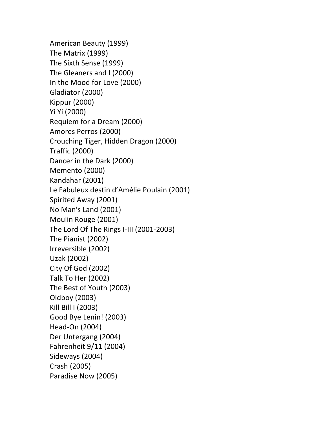American Beauty (1999) The Matrix (1999) The Sixth Sense (1999) The Gleaners and I (2000) In the Mood for Love (2000) Gladiator (2000) Kippur (2000) Yi Yi (2000) Requiem for a Dream (2000) Amores Perros (2000) Crouching Tiger, Hidden Dragon (2000) Traffic (2000) Dancer in the Dark (2000) Memento (2000) Kandahar (2001) Le Fabuleux destin d'Amélie Poulain (2001) Spirited Away (2001) No Man's Land (2001) Moulin Rouge (2001) The Lord Of The Rings I-III (2001-2003) The Pianist (2002) Irreversible (2002) Uzak (2002) City Of God (2002) Talk To Her (2002) The Best of Youth (2003) Oldboy (2003) Kill Bill I (2003) Good Bye Lenin! (2003) Head-On (2004) Der Untergang (2004) Fahrenheit  $9/11$  (2004) Sideways (2004) Crash (2005) Paradise Now (2005)